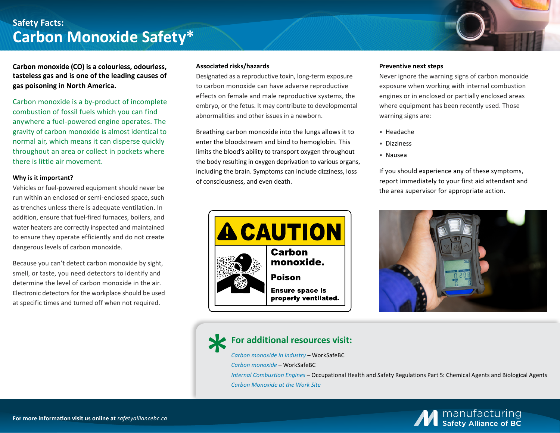## **Safety Facts: Carbon Monoxide Safety\***

**Carbon monoxide (CO) is a colourless, odourless, tasteless gas and is one of the leading causes of gas poisoning in North America.**

Carbon monoxide is a by-product of incomplete combustion of fossil fuels which you can find anywhere a fuel-powered engine operates. The gravity of carbon monoxide is almost identical to normal air, which means it can disperse quickly throughout an area or collect in pockets where there is little air movement.

### **Why is it important?**

Vehicles or fuel-powered equipment should never be run within an enclosed or semi-enclosed space, such as trenches unless there is adequate ventilation. In addition, ensure that fuel-fired furnaces, boilers, and water heaters are correctly inspected and maintained to ensure they operate efficiently and do not create dangerous levels of carbon monoxide.

Because you can't detect carbon monoxide by sight, smell, or taste, you need detectors to identify and determine the level of carbon monoxide in the air. Electronic detectors for the workplace should be used at specific times and turned off when not required.

### **Associated risks/hazards**

Designated as a reproductive toxin, long-term exposure to carbon monoxide can have adverse reproductive effects on female and male reproductive systems, the embryo, or the fetus. It may contribute to developmental abnormalities and other issues in a newborn.

Breathing carbon monoxide into the lungs allows it to enter the bloodstream and bind to hemoglobin. This limits the blood's ability to transport oxygen throughout the body resulting in oxygen deprivation to various organs, including the brain. Symptoms can include dizziness, loss of consciousness, and even death.



#### **Preventive next steps**

Never ignore the warning signs of carbon monoxide exposure when working with internal combustion engines or in enclosed or partially enclosed areas where equipment has been recently used. Those warning signs are:

- *•* Headache
- *•* Dizziness
- *•* Nausea

If you should experience any of these symptoms, report immediately to your first aid attendant and the area supervisor for appropriate action.



## **For additional resources visit:**

*[Carbon monoxide in industry](https://www.worksafebc.com/en/resources/health-safety/hazard-alerts/carbon-monoxide-in-industry)* – WorkSafeBC

*[Carbon monoxide](https://www.worksafebc.com/en/health-safety/hazards-exposures/carbon-monoxide)* – WorkSafeBC

*[Internal Combustion Engines](https://www.worksafebc.com/en/law-policy/occupational-health-safety/searchable-ohs-regulation/ohs-regulation/part-05-chemical-and-biological-substances#SectionNumber:5.72)* – Occupational Health and Safety Regulations Part 5: Chemical Agents and Biological Agents *[Carbon Monoxide at the Work Site](https://open.alberta.ca/dataset/d70e9a29-6b8a-4c8e-960f-5bbc98aee652/resource/64016b19-5138-4e21-b84b-c17ff5cd51b9/download/WHS-PUB-ch031.pdf)*